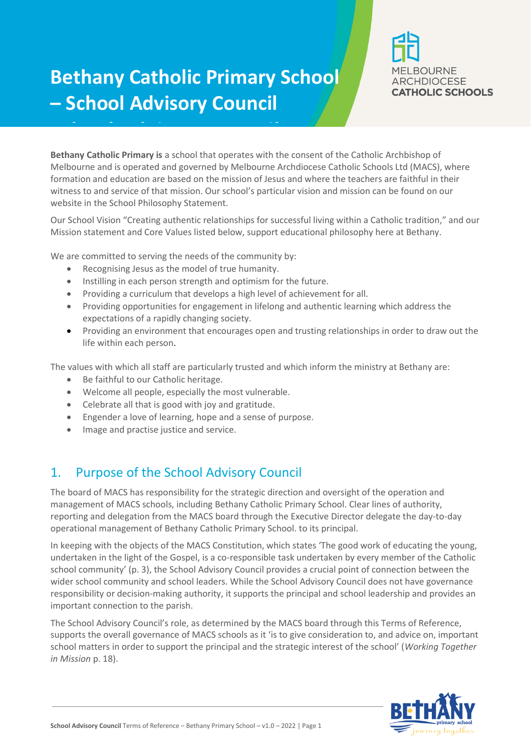# **Bethany Catholic Primary School – School Advisory Council**



**Bethany Catholic Primary is** a school that operates with the consent of the Catholic Archbishop of Melbourne and is operated and governed by Melbourne Archdiocese Catholic Schools Ltd (MACS), Melbourne and is operated and governed by Melbourne Archdiocese Catholic Schools Ltd (MACS), where formation and education are based on the mission of Jesus and where the teachers are faithful in their witness to and service of that mission. Our school's particular vision and mission can be found on our website in the School Philosophy Statement.

Our School Vision "Creating authentic relationships for successful living within a Catholic tradition," and our Mission statement and Core Values listed below, support educational philosophy here at Bethany.

We are committed to serving the needs of the community by:

**School Advisory Council**la and the council of the council of the council of the council of the council of the council of the council of the council of the council of the council of the council of the council of the counci

- Recognising Jesus as the model of true humanity.
- Instilling in each person strength and optimism for the future.
- Providing a curriculum that develops a high level of achievement for all.
- Providing opportunities for engagement in lifelong and authentic learning which address the expectations of a rapidly changing society.
- Providing an environment that encourages open and trusting relationships in order to draw out the life within each person.

The values with which all staff are particularly trusted and which inform the ministry at Bethany are:

- Be faithful to our Catholic heritage.
- Welcome all people, especially the most vulnerable.
- Celebrate all that is good with joy and gratitude.
- Engender a love of learning, hope and a sense of purpose.
- Image and practise justice and service.

## 1. Purpose of the School Advisory Council

The board of MACS has responsibility for the strategic direction and oversight of the operation and management of MACS schools, including Bethany Catholic Primary School. Clear lines of authority, reporting and delegation from the MACS board through the Executive Director delegate the day-to-day operational management of Bethany Catholic Primary School. to its principal.

In keeping with the objects of the MACS Constitution, which states 'The good work of educating the young, undertaken in the light of the Gospel, is a co-responsible task undertaken by every member of the Catholic school community' (p. 3), the School Advisory Council provides a crucial point of connection between the wider school community and school leaders. While the School Advisory Council does not have governance responsibility or decision-making authority, it supports the principal and school leadership and provides an important connection to the parish.

The School Advisory Council's role, as determined by the MACS board through this Terms of Reference, supports the overall governance of MACS schools as it 'is to give consideration to, and advice on, important school matters in order to support the principal and the strategic interest of the school' (*Working Together in Mission* p. 18).

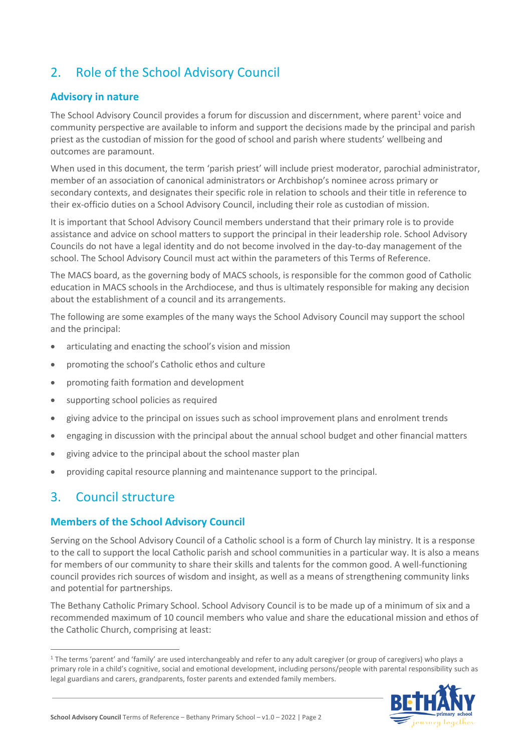# 2. Role of the School Advisory Council

#### **Advisory in nature**

The School Advisory Council provides a forum for discussion and discernment, where parent $^1$  voice and community perspective are available to inform and support the decisions made by the principal and parish priest as the custodian of mission for the good of school and parish where students' wellbeing and outcomes are paramount.

When used in this document, the term 'parish priest' will include priest moderator, parochial administrator, member of an association of canonical administrators or Archbishop's nominee across primary or secondary contexts, and designates their specific role in relation to schools and their title in reference to their ex-officio duties on a School Advisory Council, including their role as custodian of mission.

It is important that School Advisory Council members understand that their primary role is to provide assistance and advice on school matters to support the principal in their leadership role. School Advisory Councils do not have a legal identity and do not become involved in the day-to-day management of the school. The School Advisory Council must act within the parameters of this Terms of Reference.

The MACS board, as the governing body of MACS schools, is responsible for the common good of Catholic education in MACS schools in the Archdiocese, and thus is ultimately responsible for making any decision about the establishment of a council and its arrangements.

The following are some examples of the many ways the School Advisory Council may support the school and the principal:

- articulating and enacting the school's vision and mission
- promoting the school's Catholic ethos and culture
- promoting faith formation and development
- supporting school policies as required
- giving advice to the principal on issues such as school improvement plans and enrolment trends
- engaging in discussion with the principal about the annual school budget and other financial matters
- giving advice to the principal about the school master plan
- providing capital resource planning and maintenance support to the principal.

## 3. Council structure

 $\overline{a}$ 

#### **Members of the School Advisory Council**

Serving on the School Advisory Council of a Catholic school is a form of Church lay ministry. It is a response to the call to support the local Catholic parish and school communities in a particular way. It is also a means for members of our community to share their skills and talents for the common good. A well-functioning council provides rich sources of wisdom and insight, as well as a means of strengthening community links and potential for partnerships.

The Bethany Catholic Primary School. School Advisory Council is to be made up of a minimum of six and a recommended maximum of 10 council members who value and share the educational mission and ethos of the Catholic Church, comprising at least:

<sup>&</sup>lt;sup>1</sup> The terms 'parent' and 'family' are used interchangeably and refer to any adult caregiver (or group of caregivers) who plays a primary role in a child's cognitive, social and emotional development, including persons/people with parental responsibility such as legal guardians and carers, grandparents, foster parents and extended family members.

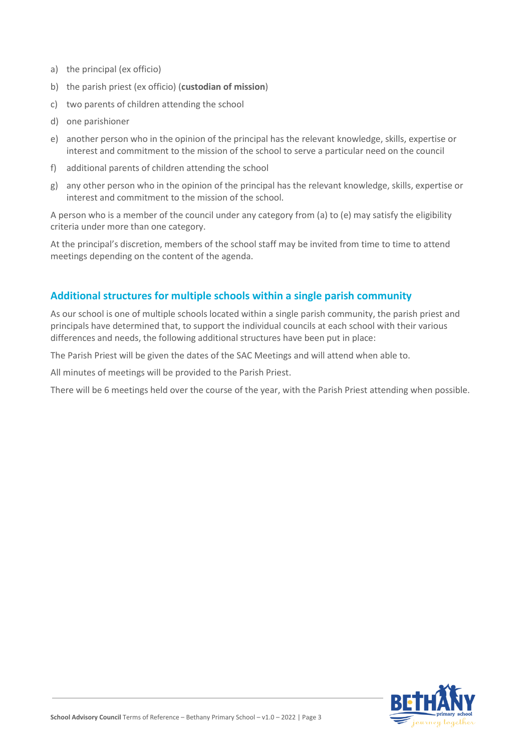- a) the principal (ex officio)
- b) the parish priest (ex officio) (**custodian of mission**)
- c) two parents of children attending the school
- d) one parishioner
- e) another person who in the opinion of the principal has the relevant knowledge, skills, expertise or interest and commitment to the mission of the school to serve a particular need on the council
- f) additional parents of children attending the school
- g) any other person who in the opinion of the principal has the relevant knowledge, skills, expertise or interest and commitment to the mission of the school.

A person who is a member of the council under any category from (a) to (e) may satisfy the eligibility criteria under more than one category.

At the principal's discretion, members of the school staff may be invited from time to time to attend meetings depending on the content of the agenda.

#### **Additional structures for multiple schools within a single parish community**

As our school is one of multiple schools located within a single parish community, the parish priest and principals have determined that, to support the individual councils at each school with their various differences and needs, the following additional structures have been put in place:

The Parish Priest will be given the dates of the SAC Meetings and will attend when able to.

All minutes of meetings will be provided to the Parish Priest.

There will be 6 meetings held over the course of the year, with the Parish Priest attending when possible.

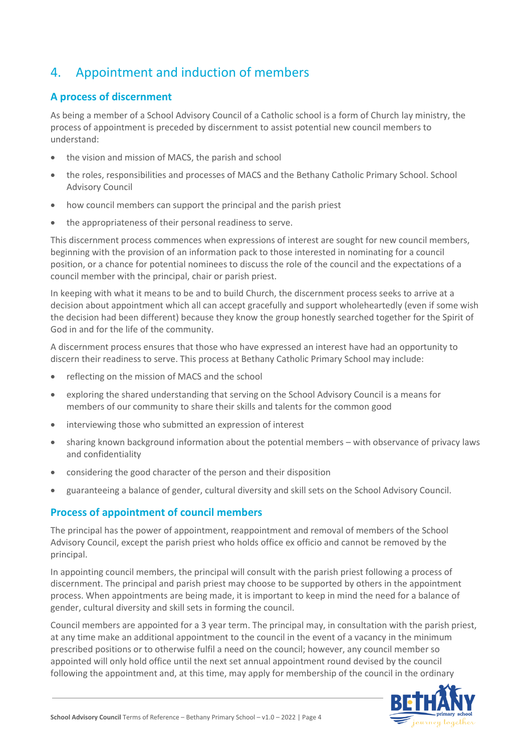# 4. Appointment and induction of members

#### **A process of discernment**

As being a member of a School Advisory Council of a Catholic school is a form of Church lay ministry, the process of appointment is preceded by discernment to assist potential new council members to understand:

- the vision and mission of MACS, the parish and school
- the roles, responsibilities and processes of MACS and the Bethany Catholic Primary School. School Advisory Council
- how council members can support the principal and the parish priest
- the appropriateness of their personal readiness to serve.

This discernment process commences when expressions of interest are sought for new council members, beginning with the provision of an information pack to those interested in nominating for a council position, or a chance for potential nominees to discuss the role of the council and the expectations of a council member with the principal, chair or parish priest.

In keeping with what it means to be and to build Church, the discernment process seeks to arrive at a decision about appointment which all can accept gracefully and support wholeheartedly (even if some wish the decision had been different) because they know the group honestly searched together for the Spirit of God in and for the life of the community.

A discernment process ensures that those who have expressed an interest have had an opportunity to discern their readiness to serve. This process at Bethany Catholic Primary School may include:

- reflecting on the mission of MACS and the school
- exploring the shared understanding that serving on the School Advisory Council is a means for members of our community to share their skills and talents for the common good
- interviewing those who submitted an expression of interest
- sharing known background information about the potential members with observance of privacy laws and confidentiality
- considering the good character of the person and their disposition
- guaranteeing a balance of gender, cultural diversity and skill sets on the School Advisory Council.

#### **Process of appointment of council members**

The principal has the power of appointment, reappointment and removal of members of the School Advisory Council, except the parish priest who holds office ex officio and cannot be removed by the principal.

In appointing council members, the principal will consult with the parish priest following a process of discernment. The principal and parish priest may choose to be supported by others in the appointment process. When appointments are being made, it is important to keep in mind the need for a balance of gender, cultural diversity and skill sets in forming the council.

Council members are appointed for a 3 year term. The principal may, in consultation with the parish priest, at any time make an additional appointment to the council in the event of a vacancy in the minimum prescribed positions or to otherwise fulfil a need on the council; however, any council member so appointed will only hold office until the next set annual appointment round devised by the council following the appointment and, at this time, may apply for membership of the council in the ordinary

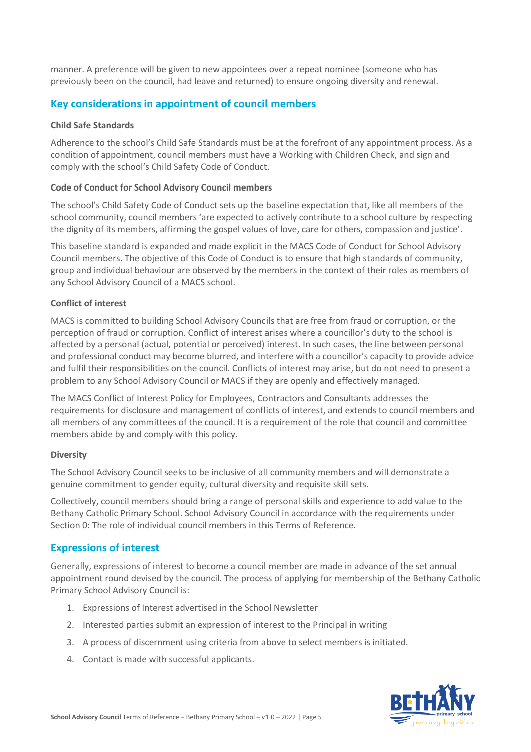manner. A preference will be given to new appointees over a repeat nominee (someone who has previously been on the council, had leave and returned) to ensure ongoing diversity and renewal.

#### **Key considerations in appointment of council members**

#### **Child Safe Standards**

Adherence to the school's Child Safe Standards must be at the forefront of any appointment process. As a condition of appointment, council members must have a Working with Children Check, and sign and comply with the school's Child Safety Code of Conduct.

#### **Code of Conduct for School Advisory Council members**

The school's Child Safety Code of Conduct sets up the baseline expectation that, like all members of the school community, council members 'are expected to actively contribute to a school culture by respecting the dignity of its members, affirming the gospel values of love, care for others, compassion and justice'.

This baseline standard is expanded and made explicit in the MACS Code of Conduct for School Advisory Council members. The objective of this Code of Conduct is to ensure that high standards of community, group and individual behaviour are observed by the members in the context of their roles as members of any School Advisory Council of a MACS school.

#### **Conflict of interest**

MACS is committed to building School Advisory Councils that are free from fraud or corruption, or the perception of fraud or corruption. Conflict of interest arises where a councillor's duty to the school is affected by a personal (actual, potential or perceived) interest. In such cases, the line between personal and professional conduct may become blurred, and interfere with a councillor's capacity to provide advice and fulfil their responsibilities on the council. Conflicts of interest may arise, but do not need to present a problem to any School Advisory Council or MACS if they are openly and effectively managed.

The MACS Conflict of Interest Policy for Employees, Contractors and Consultants addresses the requirements for disclosure and management of conflicts of interest, and extends to council members and all members of any committees of the council. It is a requirement of the role that council and committee members abide by and comply with this policy.

#### **Diversity**

The School Advisory Council seeks to be inclusive of all community members and will demonstrate a genuine commitment to gender equity, cultural diversity and requisite skill sets.

Collectively, council members should bring a range of personal skills and experience to add value to the Bethany Catholic Primary School. School Advisory Council in accordance with the requirements under Section [0:](#page-6-0) The role of individual council members in this Terms of Reference.

#### **Expressions of interest**

Generally, expressions of interest to become a council member are made in advance of the set annual appointment round devised by the council. The process of applying for membership of the Bethany Catholic Primary School Advisory Council is:

- 1. Expressions of Interest advertised in the School Newsletter
- 2. Interested parties submit an expression of interest to the Principal in writing
- 3. A process of discernment using criteria from above to select members is initiated.
- 4. Contact is made with successful applicants.

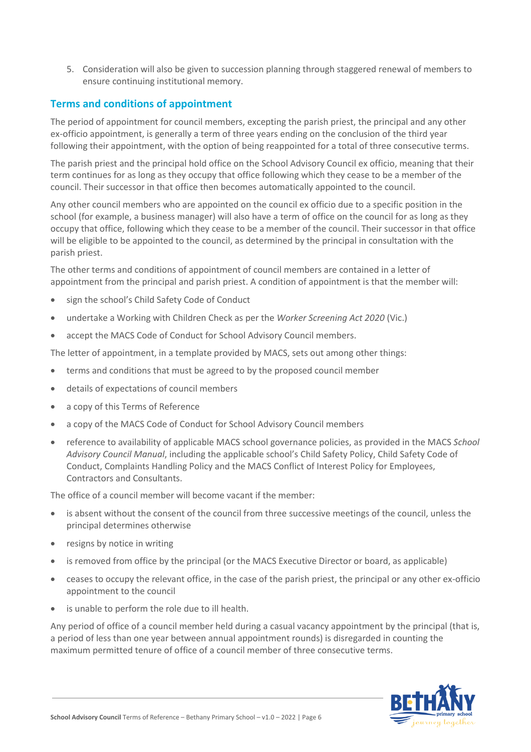5. Consideration will also be given to succession planning through staggered renewal of members to ensure continuing institutional memory.

#### **Terms and conditions of appointment**

The period of appointment for council members, excepting the parish priest, the principal and any other ex-officio appointment, is generally a term of three years ending on the conclusion of the third year following their appointment, with the option of being reappointed for a total of three consecutive terms.

The parish priest and the principal hold office on the School Advisory Council ex officio, meaning that their term continues for as long as they occupy that office following which they cease to be a member of the council. Their successor in that office then becomes automatically appointed to the council.

Any other council members who are appointed on the council ex officio due to a specific position in the school (for example, a business manager) will also have a term of office on the council for as long as they occupy that office, following which they cease to be a member of the council. Their successor in that office will be eligible to be appointed to the council, as determined by the principal in consultation with the parish priest.

The other terms and conditions of appointment of council members are contained in a letter of appointment from the principal and parish priest. A condition of appointment is that the member will:

- sign the school's Child Safety Code of Conduct
- undertake a Working with Children Check as per the *Worker Screening Act 2020* (Vic.)
- accept the MACS Code of Conduct for School Advisory Council members.

The letter of appointment, in a template provided by MACS, sets out among other things:

- terms and conditions that must be agreed to by the proposed council member
- details of expectations of council members
- a copy of this Terms of Reference
- a copy of the MACS Code of Conduct for School Advisory Council members
- reference to availability of applicable MACS school governance policies, as provided in the MACS *School Advisory Council Manual*, including the applicable school's Child Safety Policy, Child Safety Code of Conduct, Complaints Handling Policy and the MACS Conflict of Interest Policy for Employees, Contractors and Consultants.

The office of a council member will become vacant if the member:

- is absent without the consent of the council from three successive meetings of the council, unless the principal determines otherwise
- resigns by notice in writing
- is removed from office by the principal (or the MACS Executive Director or board, as applicable)
- ceases to occupy the relevant office, in the case of the parish priest, the principal or any other ex-officio appointment to the council
- is unable to perform the role due to ill health.

Any period of office of a council member held during a casual vacancy appointment by the principal (that is, a period of less than one year between annual appointment rounds) is disregarded in counting the maximum permitted tenure of office of a council member of three consecutive terms.

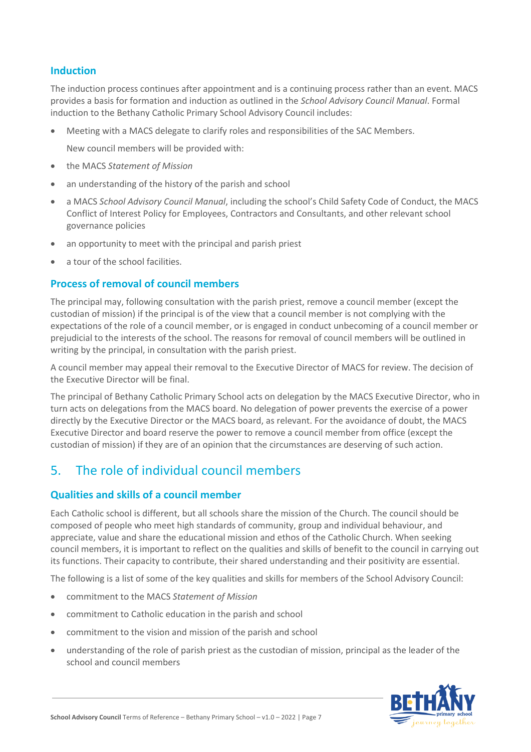#### <span id="page-6-0"></span>**Induction**

The induction process continues after appointment and is a continuing process rather than an event. MACS provides a basis for formation and induction as outlined in the *School Advisory Council Manual*. Formal induction to the Bethany Catholic Primary School Advisory Council includes:

Meeting with a MACS delegate to clarify roles and responsibilities of the SAC Members.

New council members will be provided with:

- the MACS *Statement of Mission*
- an understanding of the history of the parish and school
- a MACS *School Advisory Council Manual*, including the school's Child Safety Code of Conduct, the MACS Conflict of Interest Policy for Employees, Contractors and Consultants, and other relevant school governance policies
- an opportunity to meet with the principal and parish priest
- a tour of the school facilities.

#### **Process of removal of council members**

The principal may, following consultation with the parish priest, remove a council member (except the custodian of mission) if the principal is of the view that a council member is not complying with the expectations of the role of a council member, or is engaged in conduct unbecoming of a council member or prejudicial to the interests of the school. The reasons for removal of council members will be outlined in writing by the principal, in consultation with the parish priest.

A council member may appeal their removal to the Executive Director of MACS for review. The decision of the Executive Director will be final.

The principal of Bethany Catholic Primary School acts on delegation by the MACS Executive Director, who in turn acts on delegations from the MACS board. No delegation of power prevents the exercise of a power directly by the Executive Director or the MACS board, as relevant. For the avoidance of doubt, the MACS Executive Director and board reserve the power to remove a council member from office (except the custodian of mission) if they are of an opinion that the circumstances are deserving of such action.

### 5. The role of individual council members

#### **Qualities and skills of a council member**

Each Catholic school is different, but all schools share the mission of the Church. The council should be composed of people who meet high standards of community, group and individual behaviour, and appreciate, value and share the educational mission and ethos of the Catholic Church. When seeking council members, it is important to reflect on the qualities and skills of benefit to the council in carrying out its functions. Their capacity to contribute, their shared understanding and their positivity are essential.

The following is a list of some of the key qualities and skills for members of the School Advisory Council:

- commitment to the MACS *Statement of Mission*
- commitment to Catholic education in the parish and school
- commitment to the vision and mission of the parish and school
- understanding of the role of parish priest as the custodian of mission, principal as the leader of the school and council members

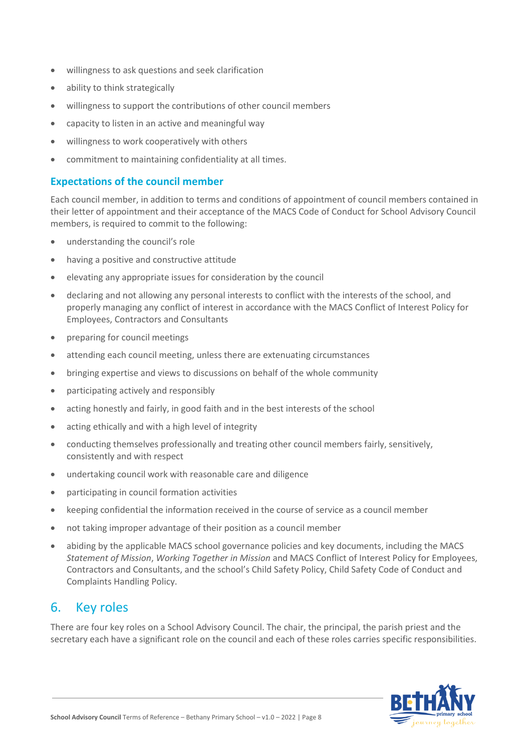- willingness to ask questions and seek clarification
- ability to think strategically
- willingness to support the contributions of other council members
- capacity to listen in an active and meaningful way
- willingness to work cooperatively with others
- commitment to maintaining confidentiality at all times.

#### **Expectations of the council member**

Each council member, in addition to terms and conditions of appointment of council members contained in their letter of appointment and their acceptance of the MACS Code of Conduct for School Advisory Council members, is required to commit to the following:

- understanding the council's role
- having a positive and constructive attitude
- elevating any appropriate issues for consideration by the council
- declaring and not allowing any personal interests to conflict with the interests of the school, and properly managing any conflict of interest in accordance with the MACS Conflict of Interest Policy for Employees, Contractors and Consultants
- preparing for council meetings
- attending each council meeting, unless there are extenuating circumstances
- bringing expertise and views to discussions on behalf of the whole community
- participating actively and responsibly
- acting honestly and fairly, in good faith and in the best interests of the school
- acting ethically and with a high level of integrity
- conducting themselves professionally and treating other council members fairly, sensitively, consistently and with respect
- undertaking council work with reasonable care and diligence
- participating in council formation activities
- keeping confidential the information received in the course of service as a council member
- not taking improper advantage of their position as a council member
- abiding by the applicable MACS school governance policies and key documents, including the MACS *Statement of Mission*, *Working Together in Mission* and MACS Conflict of Interest Policy for Employees, Contractors and Consultants, and the school's Child Safety Policy, Child Safety Code of Conduct and Complaints Handling Policy.

## 6. Key roles

There are four key roles on a School Advisory Council. The chair, the principal, the parish priest and the secretary each have a significant role on the council and each of these roles carries specific responsibilities.

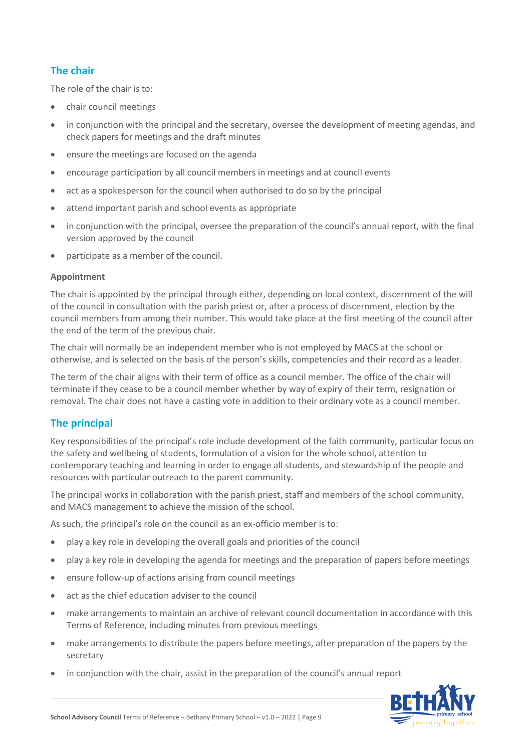#### **The chair**

The role of the chair is to:

- chair council meetings
- in conjunction with the principal and the secretary, oversee the development of meeting agendas, and check papers for meetings and the draft minutes
- ensure the meetings are focused on the agenda
- encourage participation by all council members in meetings and at council events
- act as a spokesperson for the council when authorised to do so by the principal
- attend important parish and school events as appropriate
- in conjunction with the principal, oversee the preparation of the council's annual report, with the final version approved by the council
- participate as a member of the council.

#### **Appointment**

The chair is appointed by the principal through either, depending on local context, discernment of the will of the council in consultation with the parish priest or, after a process of discernment, election by the council members from among their number. This would take place at the first meeting of the council after the end of the term of the previous chair.

The chair will normally be an independent member who is not employed by MACS at the school or otherwise, and is selected on the basis of the person's skills, competencies and their record as a leader.

The term of the chair aligns with their term of office as a council member. The office of the chair will terminate if they cease to be a council member whether by way of expiry of their term, resignation or removal. The chair does not have a casting vote in addition to their ordinary vote as a council member.

#### **The principal**

Key responsibilities of the principal's role include development of the faith community, particular focus on the safety and wellbeing of students, formulation of a vision for the whole school, attention to contemporary teaching and learning in order to engage all students, and stewardship of the people and resources with particular outreach to the parent community.

The principal works in collaboration with the parish priest, staff and members of the school community, and MACS management to achieve the mission of the school.

As such, the principal's role on the council as an ex-officio member is to:

- play a key role in developing the overall goals and priorities of the council
- play a key role in developing the agenda for meetings and the preparation of papers before meetings
- ensure follow-up of actions arising from council meetings
- act as the chief education adviser to the council
- make arrangements to maintain an archive of relevant council documentation in accordance with this Terms of Reference, including minutes from previous meetings
- make arrangements to distribute the papers before meetings, after preparation of the papers by the secretary
- in conjunction with the chair, assist in the preparation of the council's annual report

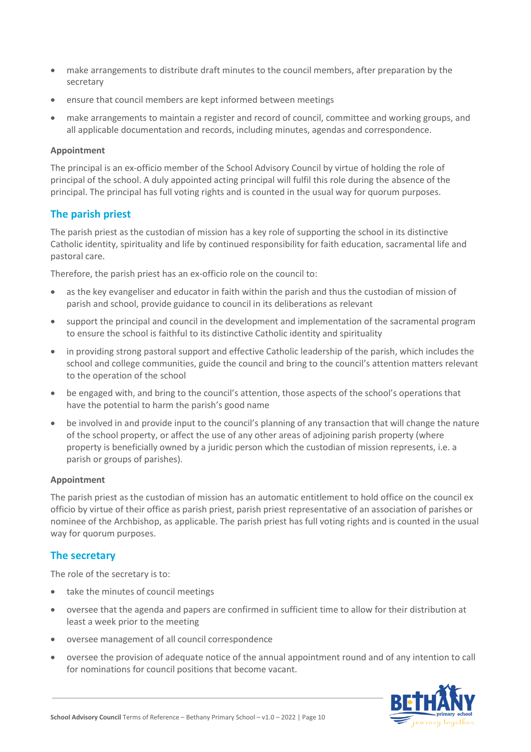- make arrangements to distribute draft minutes to the council members, after preparation by the secretary
- ensure that council members are kept informed between meetings
- make arrangements to maintain a register and record of council, committee and working groups, and all applicable documentation and records, including minutes, agendas and correspondence.

#### **Appointment**

The principal is an ex-officio member of the School Advisory Council by virtue of holding the role of principal of the school. A duly appointed acting principal will fulfil this role during the absence of the principal. The principal has full voting rights and is counted in the usual way for quorum purposes.

#### **The parish priest**

The parish priest as the custodian of mission has a key role of supporting the school in its distinctive Catholic identity, spirituality and life by continued responsibility for faith education, sacramental life and pastoral care.

Therefore, the parish priest has an ex-officio role on the council to:

- as the key evangeliser and educator in faith within the parish and thus the custodian of mission of parish and school, provide guidance to council in its deliberations as relevant
- support the principal and council in the development and implementation of the sacramental program to ensure the school is faithful to its distinctive Catholic identity and spirituality
- in providing strong pastoral support and effective Catholic leadership of the parish, which includes the school and college communities, guide the council and bring to the council's attention matters relevant to the operation of the school
- be engaged with, and bring to the council's attention, those aspects of the school's operations that have the potential to harm the parish's good name
- be involved in and provide input to the council's planning of any transaction that will change the nature of the school property, or affect the use of any other areas of adjoining parish property (where property is beneficially owned by a juridic person which the custodian of mission represents, i.e. a parish or groups of parishes).

#### **Appointment**

The parish priest as the custodian of mission has an automatic entitlement to hold office on the council ex officio by virtue of their office as parish priest, parish priest representative of an association of parishes or nominee of the Archbishop, as applicable. The parish priest has full voting rights and is counted in the usual way for quorum purposes.

#### **The secretary**

The role of the secretary is to:

- take the minutes of council meetings
- oversee that the agenda and papers are confirmed in sufficient time to allow for their distribution at least a week prior to the meeting
- oversee management of all council correspondence
- oversee the provision of adequate notice of the annual appointment round and of any intention to call for nominations for council positions that become vacant.

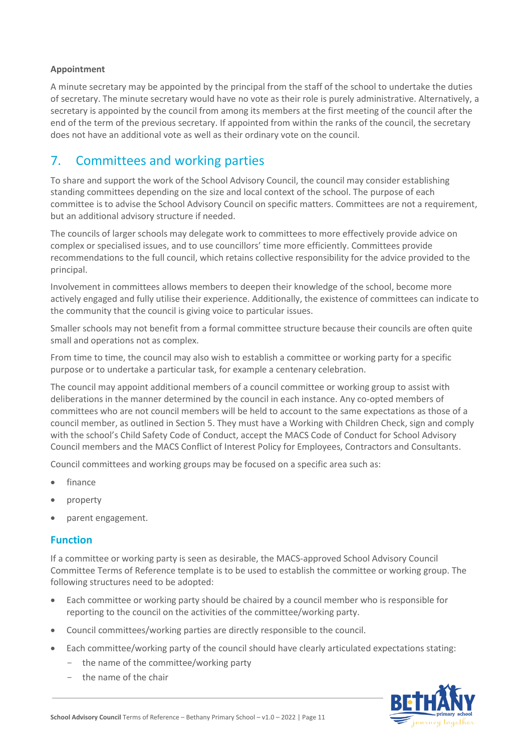#### **Appointment**

A minute secretary may be appointed by the principal from the staff of the school to undertake the duties of secretary. The minute secretary would have no vote as their role is purely administrative. Alternatively, a secretary is appointed by the council from among its members at the first meeting of the council after the end of the term of the previous secretary. If appointed from within the ranks of the council, the secretary does not have an additional vote as well as their ordinary vote on the council.

### 7. Committees and working parties

To share and support the work of the School Advisory Council, the council may consider establishing standing committees depending on the size and local context of the school. The purpose of each committee is to advise the School Advisory Council on specific matters. Committees are not a requirement, but an additional advisory structure if needed.

The councils of larger schools may delegate work to committees to more effectively provide advice on complex or specialised issues, and to use councillors' time more efficiently. Committees provide recommendations to the full council, which retains collective responsibility for the advice provided to the principal.

Involvement in committees allows members to deepen their knowledge of the school, become more actively engaged and fully utilise their experience. Additionally, the existence of committees can indicate to the community that the council is giving voice to particular issues.

Smaller schools may not benefit from a formal committee structure because their councils are often quite small and operations not as complex.

From time to time, the council may also wish to establish a committee or working party for a specific purpose or to undertake a particular task, for example a centenary celebration.

The council may appoint additional members of a council committee or working group to assist with deliberations in the manner determined by the council in each instance. Any co-opted members of committees who are not council members will be held to account to the same expectations as those of a council member, as outlined in Section 5. They must have a Working with Children Check, sign and comply with the school's Child Safety Code of Conduct, accept the MACS Code of Conduct for School Advisory Council members and the MACS Conflict of Interest Policy for Employees, Contractors and Consultants.

Council committees and working groups may be focused on a specific area such as:

- finance
- property
- parent engagement.

#### **Function**

If a committee or working party is seen as desirable, the MACS-approved School Advisory Council Committee Terms of Reference template is to be used to establish the committee or working group. The following structures need to be adopted:

- Each committee or working party should be chaired by a council member who is responsible for reporting to the council on the activities of the committee/working party.
- Council committees/working parties are directly responsible to the council.
- Each committee/working party of the council should have clearly articulated expectations stating:
	- the name of the committee/working party
	- the name of the chair

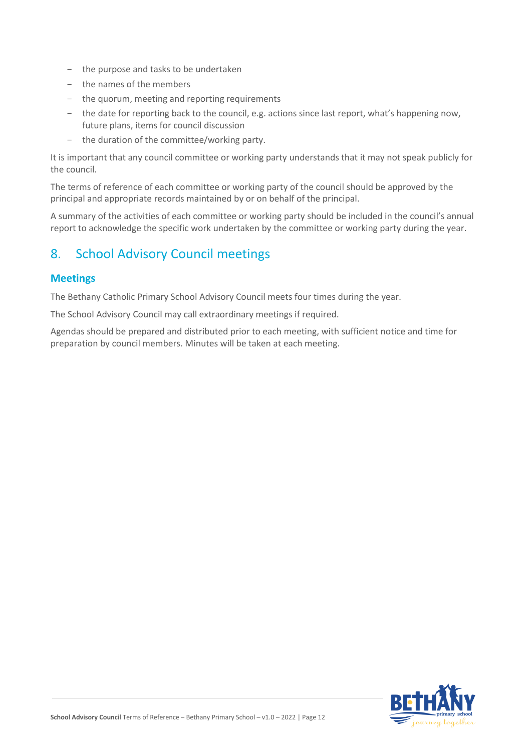- the purpose and tasks to be undertaken
- the names of the members
- the quorum, meeting and reporting requirements
- the date for reporting back to the council, e.g. actions since last report, what's happening now, future plans, items for council discussion
- the duration of the committee/working party.

It is important that any council committee or working party understands that it may not speak publicly for the council.

The terms of reference of each committee or working party of the council should be approved by the principal and appropriate records maintained by or on behalf of the principal.

A summary of the activities of each committee or working party should be included in the council's annual report to acknowledge the specific work undertaken by the committee or working party during the year.

# 8. School Advisory Council meetings

#### **Meetings**

The Bethany Catholic Primary School Advisory Council meets four times during the year.

The School Advisory Council may call extraordinary meetings if required.

Agendas should be prepared and distributed prior to each meeting, with sufficient notice and time for preparation by council members. Minutes will be taken at each meeting.

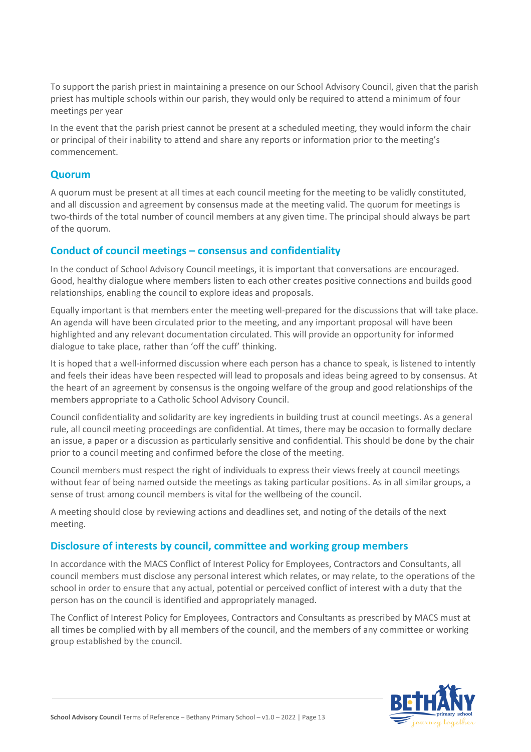To support the parish priest in maintaining a presence on our School Advisory Council, given that the parish priest has multiple schools within our parish, they would only be required to attend a minimum of four meetings per year

In the event that the parish priest cannot be present at a scheduled meeting, they would inform the chair or principal of their inability to attend and share any reports or information prior to the meeting's commencement.

#### **Quorum**

A quorum must be present at all times at each council meeting for the meeting to be validly constituted, and all discussion and agreement by consensus made at the meeting valid. The quorum for meetings is two-thirds of the total number of council members at any given time. The principal should always be part of the quorum.

#### **Conduct of council meetings – consensus and confidentiality**

In the conduct of School Advisory Council meetings, it is important that conversations are encouraged. Good, healthy dialogue where members listen to each other creates positive connections and builds good relationships, enabling the council to explore ideas and proposals.

Equally important is that members enter the meeting well-prepared for the discussions that will take place. An agenda will have been circulated prior to the meeting, and any important proposal will have been highlighted and any relevant documentation circulated. This will provide an opportunity for informed dialogue to take place, rather than 'off the cuff' thinking.

It is hoped that a well-informed discussion where each person has a chance to speak, is listened to intently and feels their ideas have been respected will lead to proposals and ideas being agreed to by consensus. At the heart of an agreement by consensus is the ongoing welfare of the group and good relationships of the members appropriate to a Catholic School Advisory Council.

Council confidentiality and solidarity are key ingredients in building trust at council meetings. As a general rule, all council meeting proceedings are confidential. At times, there may be occasion to formally declare an issue, a paper or a discussion as particularly sensitive and confidential. This should be done by the chair prior to a council meeting and confirmed before the close of the meeting.

Council members must respect the right of individuals to express their views freely at council meetings without fear of being named outside the meetings as taking particular positions. As in all similar groups, a sense of trust among council members is vital for the wellbeing of the council.

A meeting should close by reviewing actions and deadlines set, and noting of the details of the next meeting.

#### **Disclosure of interests by council, committee and working group members**

In accordance with the MACS Conflict of Interest Policy for Employees, Contractors and Consultants, all council members must disclose any personal interest which relates, or may relate, to the operations of the school in order to ensure that any actual, potential or perceived conflict of interest with a duty that the person has on the council is identified and appropriately managed.

The Conflict of Interest Policy for Employees, Contractors and Consultants as prescribed by MACS must at all times be complied with by all members of the council, and the members of any committee or working group established by the council.

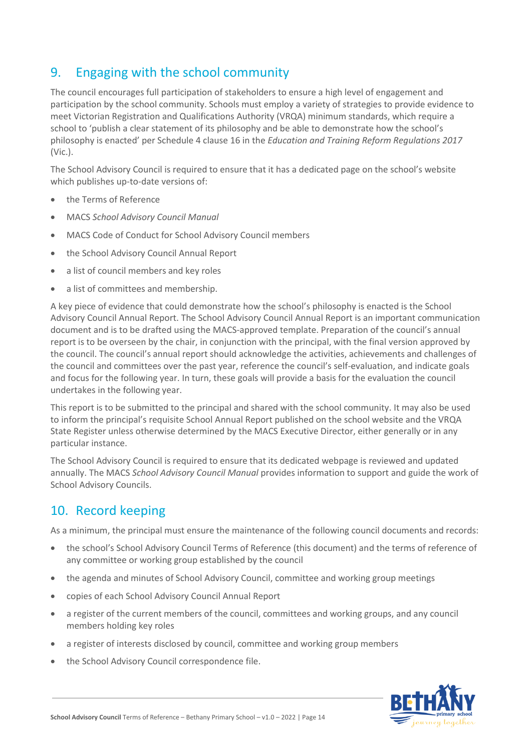# 9. Engaging with the school community

The council encourages full participation of stakeholders to ensure a high level of engagement and participation by the school community. Schools must employ a variety of strategies to provide evidence to meet Victorian Registration and Qualifications Authority (VRQA) minimum standards, which require a school to 'publish a clear statement of its philosophy and be able to demonstrate how the school's philosophy is enacted' per Schedule 4 clause 16 in the *Education and Training Reform Regulations 2017* (Vic.).

The School Advisory Council is required to ensure that it has a dedicated page on the school's website which publishes up-to-date versions of:

- the Terms of Reference
- MACS *School Advisory Council Manual*
- MACS Code of Conduct for School Advisory Council members
- the School Advisory Council Annual Report
- a list of council members and key roles
- a list of committees and membership.

A key piece of evidence that could demonstrate how the school's philosophy is enacted is the School Advisory Council Annual Report. The School Advisory Council Annual Report is an important communication document and is to be drafted using the MACS-approved template. Preparation of the council's annual report is to be overseen by the chair, in conjunction with the principal, with the final version approved by the council. The council's annual report should acknowledge the activities, achievements and challenges of the council and committees over the past year, reference the council's self-evaluation, and indicate goals and focus for the following year. In turn, these goals will provide a basis for the evaluation the council undertakes in the following year.

This report is to be submitted to the principal and shared with the school community. It may also be used to inform the principal's requisite School Annual Report published on the school website and the VRQA State Register unless otherwise determined by the MACS Executive Director, either generally or in any particular instance.

The School Advisory Council is required to ensure that its dedicated webpage is reviewed and updated annually. The MACS *School Advisory Council Manual* provides information to support and guide the work of School Advisory Councils.

# 10. Record keeping

As a minimum, the principal must ensure the maintenance of the following council documents and records:

- the school's School Advisory Council Terms of Reference (this document) and the terms of reference of any committee or working group established by the council
- the agenda and minutes of School Advisory Council, committee and working group meetings
- copies of each School Advisory Council Annual Report
- a register of the current members of the council, committees and working groups, and any council members holding key roles
- a register of interests disclosed by council, committee and working group members
- the School Advisory Council correspondence file.